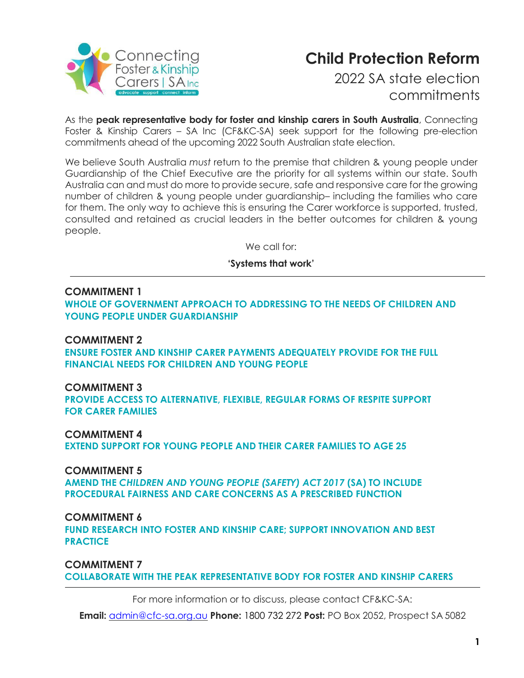

## **Child Protection Reform**

2022 SA state election commitments

As the **peak representative body for foster and kinship carers in South Australia**, Connecting Foster & Kinship Carers – SA Inc (CF&KC-SA) seek support for the following pre-election commitments ahead of the upcoming 2022 South Australian state election.

We believe South Australia *must* return to the premise that children & young people under Guardianship of the Chief Executive are the priority for all systems within our state. South Australia can and must do more to provide secure, safe and responsive care for the growing number of children & young people under guardianship– including the families who care for them. The only way to achieve this is ensuring the Carer workforce is supported, trusted, consulted and retained as crucial leaders in the better outcomes for children & young people.

We call for:

**'Systems that work'**

#### **COMMITMENT 1**

**WHOLE OF GOVERNMENT APPROACH TO ADDRESSING TO THE NEEDS OF CHILDREN AND YOUNG PEOPLE UNDER GUARDIANSHIP**

#### **COMMITMENT 2**

**ENSURE FOSTER AND KINSHIP CARER PAYMENTS ADEQUATELY PROVIDE FOR THE FULL FINANCIAL NEEDS FOR CHILDREN AND YOUNG PEOPLE**

### **COMMITMENT 3**

**PROVIDE ACCESS TO ALTERNATIVE, FLEXIBLE, REGULAR FORMS OF RESPITE SUPPORT FOR CARER FAMILIES**

#### **COMMITMENT 4**

**EXTEND SUPPORT FOR YOUNG PEOPLE AND THEIR CARER FAMILIES TO AGE 25**

#### **COMMITMENT 5**

**AMEND THE** *CHILDREN AND YOUNG PEOPLE (SAFETY) ACT 2017* **(SA) TO INCLUDE PROCEDURAL FAIRNESS AND CARE CONCERNS AS A PRESCRIBED FUNCTION** 

#### **COMMITMENT 6**

**FUND RESEARCH INTO FOSTER AND KINSHIP CARE; SUPPORT INNOVATION AND BEST PRACTICE**

**COMMITMENT 7 COLLABORATE WITH THE PEAK REPRESENTATIVE BODY FOR FOSTER AND KINSHIP CARERS**

For more information or to discuss, please contact CF&KC-SA:

**Email:** [admin@cfc-sa.org.au](mailto:admin@cfc-sa.org.au) **Phone:** 1800 732 272 **Post:** PO Box 2052, Prospect SA 5082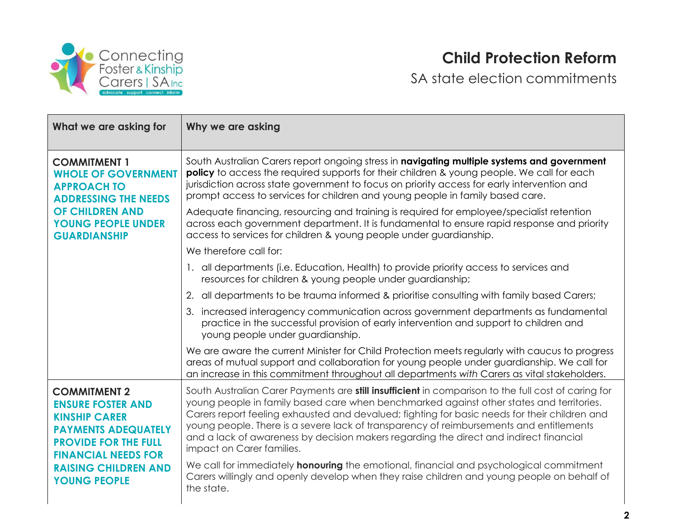

# **Child Protection Reform**

SA state election commitments

| What we are asking for                                                                                                                                                                                                   | Why we are asking                                                                                                                                                                                                                                                                                                                                                                                                                                                                                                         |
|--------------------------------------------------------------------------------------------------------------------------------------------------------------------------------------------------------------------------|---------------------------------------------------------------------------------------------------------------------------------------------------------------------------------------------------------------------------------------------------------------------------------------------------------------------------------------------------------------------------------------------------------------------------------------------------------------------------------------------------------------------------|
| <b>COMMITMENT 1</b><br><b>WHOLE OF GOVERNMENT</b><br><b>APPROACH TO</b><br><b>ADDRESSING THE NEEDS</b><br><b>OF CHILDREN AND</b><br><b>YOUNG PEOPLE UNDER</b><br><b>GUARDIANSHIP</b>                                     | South Australian Carers report ongoing stress in navigating multiple systems and government<br>policy to access the required supports for their children & young people. We call for each<br>jurisdiction across state government to focus on priority access for early intervention and<br>prompt access to services for children and young people in family based care.                                                                                                                                                 |
|                                                                                                                                                                                                                          | Adequate financing, resourcing and training is required for employee/specialist retention<br>across each government department. It is fundamental to ensure rapid response and priority<br>access to services for children & young people under guardianship.                                                                                                                                                                                                                                                             |
|                                                                                                                                                                                                                          | We therefore call for:                                                                                                                                                                                                                                                                                                                                                                                                                                                                                                    |
|                                                                                                                                                                                                                          | 1. all departments (i.e. Education, Health) to provide priority access to services and<br>resources for children & young people under guardianship;                                                                                                                                                                                                                                                                                                                                                                       |
|                                                                                                                                                                                                                          | 2. all departments to be trauma informed & prioritise consulting with family based Carers;                                                                                                                                                                                                                                                                                                                                                                                                                                |
|                                                                                                                                                                                                                          | 3. increased interagency communication across government departments as fundamental<br>practice in the successful provision of early intervention and support to children and<br>young people under guardianship.                                                                                                                                                                                                                                                                                                         |
|                                                                                                                                                                                                                          | We are aware the current Minister for Child Protection meets regularly with caucus to progress<br>areas of mutual support and collaboration for young people under guardianship. We call for<br>an increase in this commitment throughout all departments with Carers as vital stakeholders.                                                                                                                                                                                                                              |
| <b>COMMITMENT 2</b><br><b>ENSURE FOSTER AND</b><br><b>KINSHIP CARER</b><br><b>PAYMENTS ADEQUATELY</b><br><b>PROVIDE FOR THE FULL</b><br><b>FINANCIAL NEEDS FOR</b><br><b>RAISING CHILDREN AND</b><br><b>YOUNG PEOPLE</b> | South Australian Carer Payments are <b>still insufficient</b> in comparison to the full cost of caring for<br>young people in family based care when benchmarked against other states and territories.<br>Carers report feeling exhausted and devalued; fighting for basic needs for their children and<br>young people. There is a severe lack of transparency of reimbursements and entitlements<br>and a lack of awareness by decision makers regarding the direct and indirect financial<br>impact on Carer families. |
|                                                                                                                                                                                                                          | We call for immediately <b>honouring</b> the emotional, financial and psychological commitment<br>Carers willingly and openly develop when they raise children and young people on behalf of<br>the state.                                                                                                                                                                                                                                                                                                                |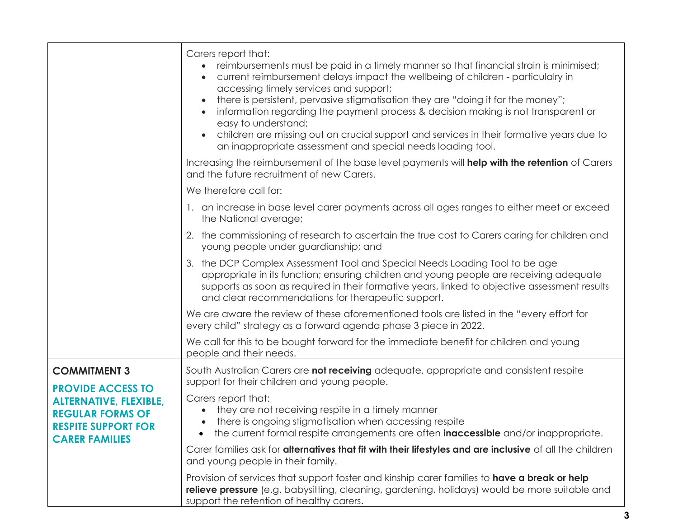|                                                                                                                                                                    | Carers report that:<br>reimbursements must be paid in a timely manner so that financial strain is minimised;<br>current reimbursement delays impact the wellbeing of children - particulalry in<br>accessing timely services and support;<br>there is persistent, pervasive stigmatisation they are "doing it for the money";<br>$\bullet$<br>information regarding the payment process & decision making is not transparent or<br>easy to understand;<br>children are missing out on crucial support and services in their formative years due to<br>an inappropriate assessment and special needs loading tool. |
|--------------------------------------------------------------------------------------------------------------------------------------------------------------------|-------------------------------------------------------------------------------------------------------------------------------------------------------------------------------------------------------------------------------------------------------------------------------------------------------------------------------------------------------------------------------------------------------------------------------------------------------------------------------------------------------------------------------------------------------------------------------------------------------------------|
|                                                                                                                                                                    | Increasing the reimbursement of the base level payments will <b>help with the retention</b> of Carers<br>and the future recruitment of new Carers.                                                                                                                                                                                                                                                                                                                                                                                                                                                                |
|                                                                                                                                                                    | We therefore call for:                                                                                                                                                                                                                                                                                                                                                                                                                                                                                                                                                                                            |
|                                                                                                                                                                    | 1. an increase in base level carer payments across all ages ranges to either meet or exceed<br>the National average;                                                                                                                                                                                                                                                                                                                                                                                                                                                                                              |
|                                                                                                                                                                    | 2. the commissioning of research to ascertain the true cost to Carers caring for children and<br>young people under guardianship; and                                                                                                                                                                                                                                                                                                                                                                                                                                                                             |
|                                                                                                                                                                    | the DCP Complex Assessment Tool and Special Needs Loading Tool to be age<br>3.<br>appropriate in its function; ensuring children and young people are receiving adequate<br>supports as soon as required in their formative years, linked to objective assessment results<br>and clear recommendations for therapeutic support.                                                                                                                                                                                                                                                                                   |
|                                                                                                                                                                    | We are aware the review of these aforementioned tools are listed in the "every effort for<br>every child" strategy as a forward agenda phase 3 piece in 2022.                                                                                                                                                                                                                                                                                                                                                                                                                                                     |
|                                                                                                                                                                    | We call for this to be bought forward for the immediate benefit for children and young<br>people and their needs.                                                                                                                                                                                                                                                                                                                                                                                                                                                                                                 |
| <b>COMMITMENT 3</b><br><b>PROVIDE ACCESS TO</b><br><b>ALTERNATIVE, FLEXIBLE,</b><br><b>REGULAR FORMS OF</b><br><b>RESPITE SUPPORT FOR</b><br><b>CARER FAMILIES</b> | South Australian Carers are not receiving adequate, appropriate and consistent respite<br>support for their children and young people.                                                                                                                                                                                                                                                                                                                                                                                                                                                                            |
|                                                                                                                                                                    | Carers report that:<br>they are not receiving respite in a timely manner<br>there is ongoing stigmatisation when accessing respite<br>the current formal respite arrangements are often <b>inaccessible</b> and/or inappropriate.<br>$\bullet$                                                                                                                                                                                                                                                                                                                                                                    |
|                                                                                                                                                                    | Carer families ask for alternatives that fit with their lifestyles and are inclusive of all the children<br>and young people in their family.                                                                                                                                                                                                                                                                                                                                                                                                                                                                     |
|                                                                                                                                                                    | Provision of services that support foster and kinship carer families to have a break or help<br>relieve pressure (e.g. babysitting, cleaning, gardening, holidays) would be more suitable and<br>support the retention of healthy carers.                                                                                                                                                                                                                                                                                                                                                                         |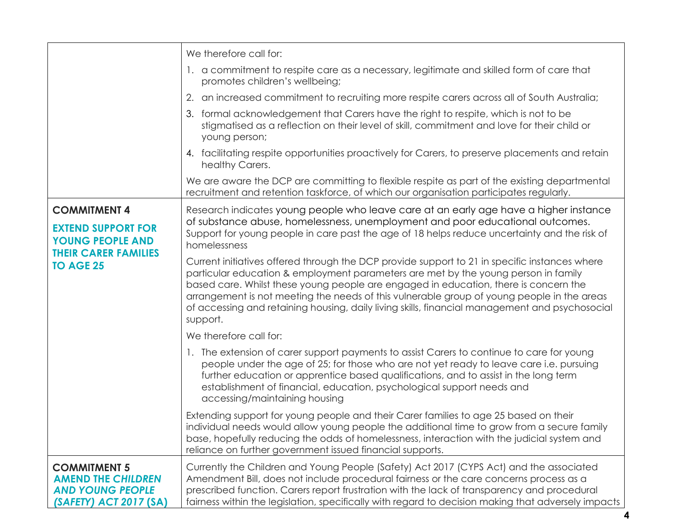|                                                                                                                                | We therefore call for:                                                                                                                                                                                                                                                                                                                                                                                                                                                                  |
|--------------------------------------------------------------------------------------------------------------------------------|-----------------------------------------------------------------------------------------------------------------------------------------------------------------------------------------------------------------------------------------------------------------------------------------------------------------------------------------------------------------------------------------------------------------------------------------------------------------------------------------|
|                                                                                                                                | 1. a commitment to respite care as a necessary, legitimate and skilled form of care that<br>promotes children's wellbeing;                                                                                                                                                                                                                                                                                                                                                              |
|                                                                                                                                | 2. an increased commitment to recruiting more respite carers across all of South Australia;                                                                                                                                                                                                                                                                                                                                                                                             |
|                                                                                                                                | 3. formal acknowledgement that Carers have the right to respite, which is not to be<br>stigmatised as a reflection on their level of skill, commitment and love for their child or<br>young person;                                                                                                                                                                                                                                                                                     |
|                                                                                                                                | 4. facilitating respite opportunities proactively for Carers, to preserve placements and retain<br>healthy Carers.                                                                                                                                                                                                                                                                                                                                                                      |
|                                                                                                                                | We are aware the DCP are committing to flexible respite as part of the existing departmental<br>recruitment and retention taskforce, of which our organisation participates regularly.                                                                                                                                                                                                                                                                                                  |
| <b>COMMITMENT 4</b><br><b>EXTEND SUPPORT FOR</b><br><b>YOUNG PEOPLE AND</b><br><b>THEIR CARER FAMILIES</b><br><b>TO AGE 25</b> | Research indicates young people who leave care at an early age have a higher instance<br>of substance abuse, homelessness, unemployment and poor educational outcomes.<br>Support for young people in care past the age of 18 helps reduce uncertainty and the risk of<br>homelessness                                                                                                                                                                                                  |
|                                                                                                                                | Current initiatives offered through the DCP provide support to 21 in specific instances where<br>particular education & employment parameters are met by the young person in family<br>based care. Whilst these young people are engaged in education, there is concern the<br>arrangement is not meeting the needs of this vulnerable group of young people in the areas<br>of accessing and retaining housing, daily living skills, financial management and psychosocial<br>support. |
|                                                                                                                                | We therefore call for:                                                                                                                                                                                                                                                                                                                                                                                                                                                                  |
|                                                                                                                                | 1. The extension of carer support payments to assist Carers to continue to care for young<br>people under the age of 25; for those who are not yet ready to leave care i.e. pursuing<br>further education or apprentice based qualifications, and to assist in the long term<br>establishment of financial, education, psychological support needs and<br>accessing/maintaining housing                                                                                                 |
|                                                                                                                                | Extending support for young people and their Carer families to age 25 based on their<br>individual needs would allow young people the additional time to grow from a secure family<br>base, hopefully reducing the odds of homelessness, interaction with the judicial system and<br>reliance on further government issued financial supports.                                                                                                                                          |
| <b>COMMITMENT 5</b><br><b>AMEND THE CHILDREN</b><br><b>AND YOUNG PEOPLE</b><br>(SAFETY) ACT 2017 (SA)                          | Currently the Children and Young People (Safety) Act 2017 (CYPS Act) and the associated<br>Amendment Bill, does not include procedural fairness or the care concerns process as a<br>prescribed function. Carers report frustration with the lack of transparency and procedural<br>fairness within the legislation, specifically with regard to decision making that adversely impacts                                                                                                 |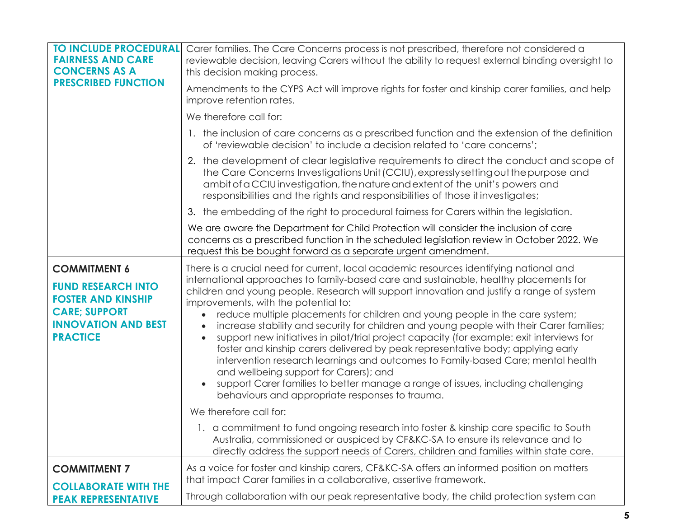| <b>TO INCLUDE PROCEDURAL</b><br><b>FAIRNESS AND CARE</b><br><b>CONCERNS AS A</b><br><b>PRESCRIBED FUNCTION</b>                  | Carer families. The Care Concerns process is not prescribed, therefore not considered a<br>reviewable decision, leaving Carers without the ability to request external binding oversight to<br>this decision making process.<br>Amendments to the CYPS Act will improve rights for foster and kinship carer families, and help                                                                                                                                                                                                                                                                                                                                                                                                                                                                                                                                           |
|---------------------------------------------------------------------------------------------------------------------------------|--------------------------------------------------------------------------------------------------------------------------------------------------------------------------------------------------------------------------------------------------------------------------------------------------------------------------------------------------------------------------------------------------------------------------------------------------------------------------------------------------------------------------------------------------------------------------------------------------------------------------------------------------------------------------------------------------------------------------------------------------------------------------------------------------------------------------------------------------------------------------|
|                                                                                                                                 | improve retention rates.                                                                                                                                                                                                                                                                                                                                                                                                                                                                                                                                                                                                                                                                                                                                                                                                                                                 |
|                                                                                                                                 | We therefore call for:                                                                                                                                                                                                                                                                                                                                                                                                                                                                                                                                                                                                                                                                                                                                                                                                                                                   |
|                                                                                                                                 | 1. the inclusion of care concerns as a prescribed function and the extension of the definition<br>of 'reviewable decision' to include a decision related to 'care concerns';                                                                                                                                                                                                                                                                                                                                                                                                                                                                                                                                                                                                                                                                                             |
|                                                                                                                                 | 2. the development of clear legislative requirements to direct the conduct and scope of<br>the Care Concerns Investigations Unit (CCIU), expressly setting out the purpose and<br>ambit of a CCIU investigation, the nature and extent of the unit's powers and<br>responsibilities and the rights and responsibilities of those it investigates;                                                                                                                                                                                                                                                                                                                                                                                                                                                                                                                        |
|                                                                                                                                 | 3. the embedding of the right to procedural fairness for Carers within the legislation.                                                                                                                                                                                                                                                                                                                                                                                                                                                                                                                                                                                                                                                                                                                                                                                  |
|                                                                                                                                 | We are aware the Department for Child Protection will consider the inclusion of care<br>concerns as a prescribed function in the scheduled legislation review in October 2022. We<br>request this be bought forward as a separate urgent amendment.                                                                                                                                                                                                                                                                                                                                                                                                                                                                                                                                                                                                                      |
| <b>COMMITMENT 6</b>                                                                                                             | There is a crucial need for current, local academic resources identifying national and                                                                                                                                                                                                                                                                                                                                                                                                                                                                                                                                                                                                                                                                                                                                                                                   |
| <b>FUND RESEARCH INTO</b><br><b>FOSTER AND KINSHIP</b><br><b>CARE; SUPPORT</b><br><b>INNOVATION AND BEST</b><br><b>PRACTICE</b> | international approaches to family-based care and sustainable, healthy placements for<br>children and young people. Research will support innovation and justify a range of system<br>improvements, with the potential to:<br>reduce multiple placements for children and young people in the care system;<br>increase stability and security for children and young people with their Carer families;<br>support new initiatives in pilot/trial project capacity (for example: exit interviews for<br>$\bullet$<br>foster and kinship carers delivered by peak representative body; applying early<br>intervention research learnings and outcomes to Family-based Care; mental health<br>and wellbeing support for Carers); and<br>support Carer families to better manage a range of issues, including challenging<br>behaviours and appropriate responses to trauma. |
|                                                                                                                                 | We therefore call for:                                                                                                                                                                                                                                                                                                                                                                                                                                                                                                                                                                                                                                                                                                                                                                                                                                                   |
|                                                                                                                                 | 1. a commitment to fund ongoing research into foster & kinship care specific to South<br>Australia, commissioned or auspiced by CF&KC-SA to ensure its relevance and to<br>directly address the support needs of Carers, children and families within state care.                                                                                                                                                                                                                                                                                                                                                                                                                                                                                                                                                                                                        |
| <b>COMMITMENT 7</b>                                                                                                             | As a voice for foster and kinship carers, CF&KC-SA offers an informed position on matters<br>that impact Carer families in a collaborative, assertive framework.                                                                                                                                                                                                                                                                                                                                                                                                                                                                                                                                                                                                                                                                                                         |
| <b>COLLABORATE WITH THE</b><br><b>PEAK REPRESENTATIVE</b>                                                                       | Through collaboration with our peak representative body, the child protection system can                                                                                                                                                                                                                                                                                                                                                                                                                                                                                                                                                                                                                                                                                                                                                                                 |